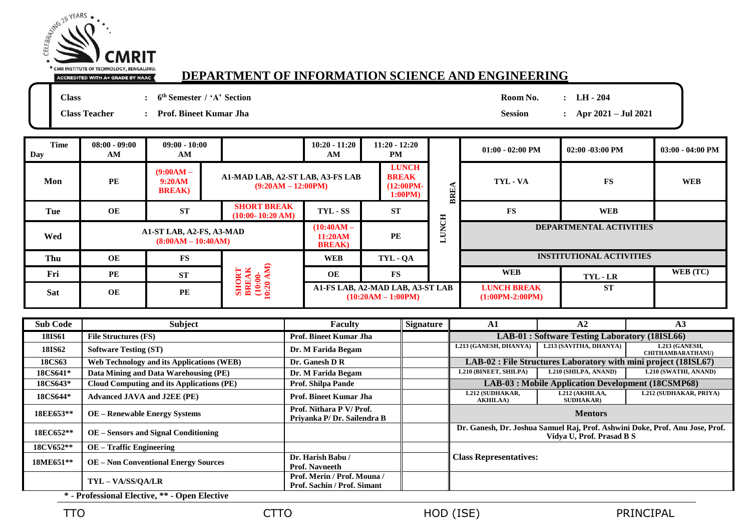

## **DEPARTMENT OF INFORMATION SCIENCE AND ENGINEERING**

**Class : 6**

**th Semester / 'A' Section Room No. : LH - 204**

**Class Teacher : Prof. Bineet Kumar Jha Session : Apr 2021 – Jul 2021**

| <b>Time</b><br>Day | $08:00 - 09:00$<br>AM | $09:00 - 10:00$<br>AM                            |                                                          | $10:20 - 11:20$<br>AM | $11:20 - 12:20$<br>PM                                  |              | $01:00 - 02:00$ PM      | $02:00 - 03:00 \text{ PM}$      | $03:00 - 04:00$ PM |
|--------------------|-----------------------|--------------------------------------------------|----------------------------------------------------------|-----------------------|--------------------------------------------------------|--------------|-------------------------|---------------------------------|--------------------|
| Mon                | <b>PE</b>             | $(9:00AM -$<br>9:20AM<br><b>BREAK</b> )          | A1-MAD LAB, A2-ST LAB, A3-FS LAB<br>$(9:20AM - 12:00PM)$ |                       | <b>LUNCH</b><br><b>BREAK</b><br>$(12:00PM -$<br>1:00PM | 띥            | TYL - VA                | <b>FS</b>                       | <b>WEB</b>         |
| Tue                | OE                    | <b>ST</b>                                        | <b>SHORT BREAK</b><br>$(10:00 - 10:20 \text{ AM})$       | TYL - SS              | <b>ST</b>                                              |              | <b>FS</b>               | <b>WEB</b>                      |                    |
| Wed                |                       | A1-ST LAB, A2-FS, A3-MAD<br>$(8:00AM - 10:40AM)$ |                                                          |                       | <b>PE</b>                                              | <b>LUNCH</b> | DEPARTMENTAL ACTIVITIES |                                 |                    |
| Thu                | OE                    | <b>FS</b>                                        |                                                          | <b>WEB</b>            | TYL - QA                                               |              |                         | <b>INSTITUTIONAL ACTIVITIES</b> |                    |
|                    |                       |                                                  |                                                          |                       |                                                        |              |                         |                                 |                    |
| Fri                | <b>PE</b>             | <b>ST</b>                                        | SHORT<br>BREAK<br>(10:00-<br>10:20 AM)                   | OE                    | $\mathbf{FS}$                                          |              | <b>WEB</b>              | TYL - LR                        | WEB (TC)           |

|               |                                                                   | Faculty                                                    | <b>Signature</b> | A1                                                 | A2                                  | A <sub>3</sub>                                                               |  |  |
|---------------|-------------------------------------------------------------------|------------------------------------------------------------|------------------|----------------------------------------------------|-------------------------------------|------------------------------------------------------------------------------|--|--|
| <b>18IS61</b> | <b>File Structures (FS)</b>                                       | <b>Prof. Bineet Kumar Jha</b>                              |                  | LAB-01 : Software Testing Laboratory (18ISL66)     |                                     |                                                                              |  |  |
| <b>18IS62</b> | <b>Software Testing (ST)</b>                                      | Dr. M Farida Begam                                         |                  | L213 (GANESH, DHANYA)                              | L213 (SAVITHA, DHANYA)              | L213 (GANESH,<br><b>CHITHAMBARATHANU)</b>                                    |  |  |
| <b>18CS63</b> | <b>Web Technology and its Applications (WEB)</b>                  | Dr. Ganesh D R                                             |                  |                                                    |                                     | LAB-02 : File Structures Laboratory with mini project (18ISL67)              |  |  |
| 18CS641*      | Data Mining and Data Warehousing (PE)                             | Dr. M Farida Begam                                         |                  | L210 (BINEET, SHILPA)                              | L210 (SHILPA, ANAND)                | L210 (SWATHI, ANAND)                                                         |  |  |
| 18CS643*      | Cloud Computing and its Applications (PE)                         | <b>Prof. Shilpa Pande</b>                                  |                  | LAB-03 : Mobile Application Development (18CSMP68) |                                     |                                                                              |  |  |
| 18CS644*      | <b>Advanced JAVA and J2EE (PE)</b>                                | <b>Prof. Bineet Kumar Jha</b>                              |                  | L212 (SUDHAKAR,<br><b>AKHILAA</b> )                | L212 (AKHILAA,<br><b>SUDHAKAR</b> ) | L212 (SUDHAKAR, PRIYA)                                                       |  |  |
| 18EE653**     | <b>OE</b> – Renewable Energy Systems                              | Prof. Nithara P V/ Prof.<br>Privanka P/Dr. Sailendra B     |                  |                                                    | <b>Mentors</b>                      |                                                                              |  |  |
| 18EC652**     | <b>OE</b> – Sensors and Signal Conditioning                       |                                                            |                  |                                                    | Vidya U, Prof. Prasad B S           | Dr. Ganesh, Dr. Joshua Samuel Raj, Prof. Ashwini Doke, Prof. Anu Jose, Prof. |  |  |
| 18CV652**     | <b>OE</b> – Traffic Engineering                                   |                                                            |                  |                                                    |                                     |                                                                              |  |  |
| 18ME651**     | <b>OE</b> – Non Conventional Energy Sources                       | Dr. Harish Babu /<br><b>Prof. Navneeth</b>                 |                  | <b>Class Representatives:</b>                      |                                     |                                                                              |  |  |
|               | TYL - VA/SS/QA/LR<br>* - Professional Flective ** - Onen Flective | Prof. Merin / Prof. Mouna /<br>Prof. Sachin / Prof. Simant |                  |                                                    |                                     |                                                                              |  |  |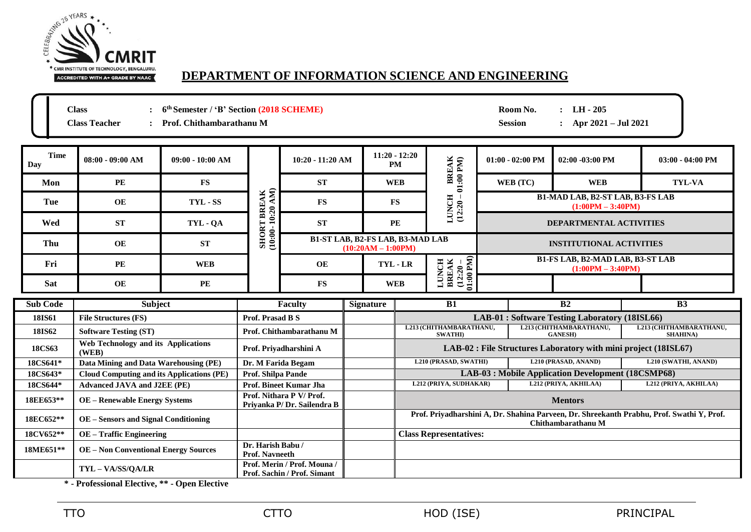

## **DEPARTMENT OF INFORMATION SCIENCE AND ENGINEERING**

|                    | 6 <sup>th</sup> Semester / 'B' Section (2018 SCHEME)<br><b>Class</b><br>Room No.<br>: $LH - 205$<br>: Apr $2021 - \text{Jul } 2021$<br><b>Class Teacher</b><br>Prof. Chithambarathanu M<br><b>Session</b> |               |                                                            |                                                                                                                        |                  |                                                                 |                                                                                           |                                                                |                                                                 |                                                                                           |  |
|--------------------|-----------------------------------------------------------------------------------------------------------------------------------------------------------------------------------------------------------|---------------|------------------------------------------------------------|------------------------------------------------------------------------------------------------------------------------|------------------|-----------------------------------------------------------------|-------------------------------------------------------------------------------------------|----------------------------------------------------------------|-----------------------------------------------------------------|-------------------------------------------------------------------------------------------|--|
| <b>Time</b><br>Day | $08:00 - 09:00 AM$<br>$09:00 - 10:00 AM$<br>10:20 - 11:20 AM                                                                                                                                              |               |                                                            | $11:20 - 12:20$<br><b>PM</b>                                                                                           | BREAK<br>:00 PM) | $01:00 - 02:00$ PM                                              | $02:00 - 03:00$ PM                                                                        | $03:00 - 04:00$ PM                                             |                                                                 |                                                                                           |  |
| Mon                | <b>PE</b>                                                                                                                                                                                                 | <b>FS</b>     |                                                            | <b>ST</b>                                                                                                              |                  | <b>WEB</b>                                                      | $\overline{a}$                                                                            | WEB (TC)                                                       | <b>WEB</b>                                                      | <b>TYL-VA</b>                                                                             |  |
| Tue                | OE                                                                                                                                                                                                        | TYL - SS      |                                                            | <b>FS</b>                                                                                                              |                  | <b>LUNCH</b><br><b>FS</b><br>(12:20)                            | B1-MAD LAB, B2-ST LAB, B3-FS LAB<br>$(1:00PM - 3:40PM)$<br><b>DEPARTMENTAL ACTIVITIES</b> |                                                                |                                                                 |                                                                                           |  |
| Wed                | <b>ST</b>                                                                                                                                                                                                 | TYL - QA      |                                                            | <b>SHORT BREAK</b><br>(10:00-10:20 AM)<br><b>ST</b><br><b>B1-ST LAB, B2-FS LAB, B3-MAD LAB</b><br>$(10:20AM - 1:00PM)$ |                  | <b>PE</b>                                                       |                                                                                           |                                                                |                                                                 |                                                                                           |  |
| Thu                | OE                                                                                                                                                                                                        | ST            |                                                            |                                                                                                                        |                  |                                                                 |                                                                                           | <b>INSTITUTIONAL ACTIVITIES</b>                                |                                                                 |                                                                                           |  |
| Fri                | PE                                                                                                                                                                                                        | <b>WEB</b>    |                                                            | <b>OE</b>                                                                                                              |                  | <b>BREAK</b><br>(12:20 -<br>01:00 PM)<br><b>LUNCH</b><br>TYL-LR |                                                                                           | <b>B1-FS LAB, B2-MAD LAB, B3-ST LAB</b><br>$(1:00PM - 3:40PM)$ |                                                                 |                                                                                           |  |
| Sat                | <b>OE</b>                                                                                                                                                                                                 | $\mathbf{PE}$ |                                                            | <b>FS</b>                                                                                                              |                  | <b>WEB</b>                                                      |                                                                                           |                                                                |                                                                 |                                                                                           |  |
| <b>Sub Code</b>    | <b>Subject</b>                                                                                                                                                                                            |               | <b>Faculty</b>                                             |                                                                                                                        | <b>Signature</b> |                                                                 | B1                                                                                        |                                                                | $\overline{B2}$                                                 | B <sub>3</sub>                                                                            |  |
| 18IS61             | <b>File Structures (FS)</b>                                                                                                                                                                               |               | <b>Prof. Prasad B S</b>                                    |                                                                                                                        |                  |                                                                 |                                                                                           |                                                                | LAB-01 : Software Testing Laboratory (18ISL66)                  |                                                                                           |  |
| 18IS62             | <b>Software Testing (ST)</b>                                                                                                                                                                              |               |                                                            | Prof. Chithambarathanu M                                                                                               |                  | L213 (CHITHAMBARATHANU,<br><b>SWATHI</b> )                      |                                                                                           |                                                                | L213 (CHITHAMBARATHANU,<br><b>GANESH)</b>                       | L213 (CHITHAMBARATHANU,<br><b>SHAHINA</b> )                                               |  |
| <b>18CS63</b>      | <b>Web Technology and its Applications</b><br>(WEB)                                                                                                                                                       |               | Prof. Priyadharshini A                                     |                                                                                                                        |                  |                                                                 |                                                                                           |                                                                | LAB-02 : File Structures Laboratory with mini project (18ISL67) |                                                                                           |  |
| 18CS641*           | Data Mining and Data Warehousing (PE)                                                                                                                                                                     |               | Dr. M Farida Begam                                         |                                                                                                                        |                  |                                                                 | L210 (PRASAD, SWATHI)                                                                     | L210 (PRASAD, ANAND)<br>L210 (SWATHI, ANAND)                   |                                                                 |                                                                                           |  |
| 18CS643*           | <b>Cloud Computing and its Applications (PE)</b>                                                                                                                                                          |               | Prof. Shilpa Pande                                         |                                                                                                                        |                  | LAB-03 : Mobile Application Development (18CSMP68)              |                                                                                           |                                                                |                                                                 |                                                                                           |  |
| 18CS644*           | <b>Advanced JAVA and J2EE (PE)</b>                                                                                                                                                                        |               |                                                            | Prof. Bineet Kumar Jha                                                                                                 |                  |                                                                 | L212 (PRIYA, AKHILAA)<br>L212 (PRIYA, SUDHAKAR)                                           |                                                                |                                                                 | L212 (PRIYA, AKHILAA)                                                                     |  |
| 18EE653**          | <b>OE</b> – Renewable Energy Systems                                                                                                                                                                      |               |                                                            | Prof. Nithara P V/Prof.<br>Privanka P/Dr. Sailendra B                                                                  |                  |                                                                 | <b>Mentors</b>                                                                            |                                                                |                                                                 |                                                                                           |  |
| 18EC652**          | <b>OE</b> – Sensors and Signal Conditioning                                                                                                                                                               |               |                                                            |                                                                                                                        |                  |                                                                 |                                                                                           |                                                                | Chithambarathanu M                                              | Prof. Priyadharshini A, Dr. Shahina Parveen, Dr. Shreekanth Prabhu, Prof. Swathi Y, Prof. |  |
| 18CV652**          | <b>OE</b> - Traffic Engineering                                                                                                                                                                           |               |                                                            |                                                                                                                        |                  |                                                                 | <b>Class Representatives:</b>                                                             |                                                                |                                                                 |                                                                                           |  |
| 18ME651**          | <b>OE</b> – Non Conventional Energy Sources                                                                                                                                                               |               | Dr. Harish Babu /<br><b>Prof. Navneeth</b>                 |                                                                                                                        |                  |                                                                 |                                                                                           |                                                                |                                                                 |                                                                                           |  |
|                    | TYL-VA/SS/QA/LR                                                                                                                                                                                           |               | Prof. Merin / Prof. Mouna /<br>Prof. Sachin / Prof. Simant |                                                                                                                        |                  |                                                                 |                                                                                           |                                                                |                                                                 |                                                                                           |  |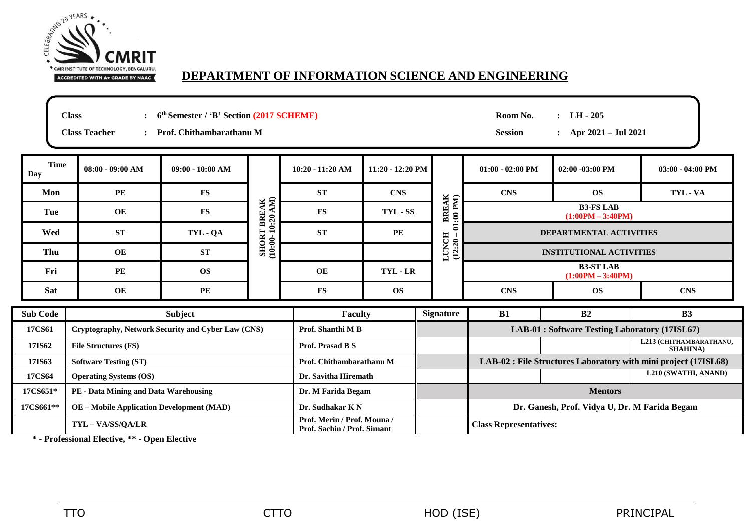

## **DEPARTMENT OF INFORMATION SCIENCE AND ENGINEERING**

**Class : 6 th Semester / 'B' Section (2017 SCHEME) Room No. : LH - 205**

**Class Teacher : Prof. Chithambarathanu M Session : Apr 2021 – Jul 2021**

| <b>Time</b><br><b>Day</b> | $08:00 - 09:00 AM$                                 | $09:00 - 10:00 AM$                                         |                                        | $10:20 - 11:20 AM$   | $11:20 - 12:20$ PM            |                                                | $01:00 - 02:00$ PM                            | $02:00 - 03:00 \text{ PM}$              | $03:00 - 04:00$ PM                                              |  |  |
|---------------------------|----------------------------------------------------|------------------------------------------------------------|----------------------------------------|----------------------|-------------------------------|------------------------------------------------|-----------------------------------------------|-----------------------------------------|-----------------------------------------------------------------|--|--|
| Mon                       | PE                                                 | $\mathbf{FS}$                                              |                                        | <b>ST</b>            | <b>CNS</b>                    |                                                | <b>CNS</b>                                    | <b>OS</b>                               | TYL - VA                                                        |  |  |
| Tue                       | OE                                                 | $\mathbf{FS}$                                              | <b>SHORT BREAK</b><br>(10:00-10:20 AM) | <b>FS</b>            | TYL - SS                      | BREAK<br>:00 PM)                               | <b>B3-FS LAB</b><br>$(1:00PM - 3:40PM)$       |                                         |                                                                 |  |  |
| Wed                       | <b>ST</b>                                          | TYL - QA                                                   |                                        | <b>ST</b>            | PE                            | Ξ                                              | <b>DEPARTMENTAL ACTIVITIES</b>                |                                         |                                                                 |  |  |
| Thu                       | OE                                                 | <b>ST</b>                                                  |                                        |                      |                               | $LUNCH$<br>(12:20 -                            |                                               | <b>INSTITUTIONAL ACTIVITIES</b>         |                                                                 |  |  |
| Fri                       | <b>PE</b>                                          | <b>OS</b>                                                  |                                        | OE                   | TYL - LR                      |                                                |                                               | <b>B3-ST LAB</b><br>$(1:00PM - 3:40PM)$ |                                                                 |  |  |
| <b>Sat</b>                | OE                                                 | $\mathbf{PE}$                                              |                                        | $\mathbf{FS}$        | <b>OS</b>                     |                                                | <b>CNS</b>                                    | <b>OS</b>                               | <b>CNS</b>                                                      |  |  |
| <b>Sub Code</b>           | <b>Subject</b>                                     |                                                            |                                        | <b>Faculty</b>       |                               | <b>Signature</b>                               | <b>B1</b>                                     | B2                                      | <b>B3</b>                                                       |  |  |
| 17CS61                    | Cryptography, Network Security and Cyber Law (CNS) |                                                            | Prof. Shanthi M B                      |                      |                               | LAB-01 : Software Testing Laboratory (17ISL67) |                                               |                                         |                                                                 |  |  |
| 17IS62                    | <b>File Structures (FS)</b>                        |                                                            |                                        | Prof. Prasad B S     |                               |                                                |                                               |                                         | L213 (CHITHAMBARATHANU,<br><b>SHAHINA</b> )                     |  |  |
| 17IS63                    | <b>Software Testing (ST)</b>                       |                                                            |                                        |                      | Prof. Chithambarathanu M      |                                                |                                               |                                         | LAB-02 : File Structures Laboratory with mini project (17ISL68) |  |  |
| 17CS64                    | <b>Operating Systems (OS)</b>                      |                                                            |                                        | Dr. Savitha Hiremath |                               |                                                |                                               |                                         | L210 (SWATHI, ANAND)                                            |  |  |
| 17CS651*                  | PE - Data Mining and Data Warehousing              |                                                            |                                        | Dr. M Farida Begam   |                               |                                                | <b>Mentors</b>                                |                                         |                                                                 |  |  |
| 17CS661**                 | <b>OE</b> – Mobile Application Development (MAD)   |                                                            |                                        | Dr. Sudhakar K N     |                               |                                                | Dr. Ganesh, Prof. Vidya U, Dr. M Farida Begam |                                         |                                                                 |  |  |
|                           | TYL-VA/SS/QA/LR                                    | Prof. Merin / Prof. Mouna /<br>Prof. Sachin / Prof. Simant |                                        |                      | <b>Class Representatives:</b> |                                                |                                               |                                         |                                                                 |  |  |